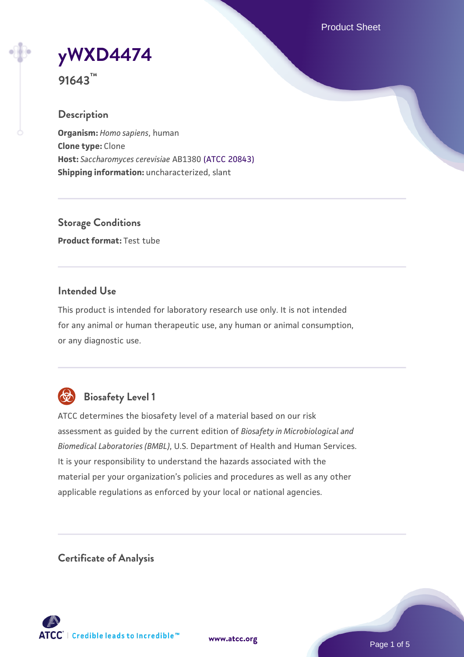Product Sheet

**[yWXD4474](https://www.atcc.org/products/91643)**

**91643™**

### **Description**

**Organism:** *Homo sapiens*, human **Clone type:** Clone **Host:** *Saccharomyces cerevisiae* AB1380 [\(ATCC 20843\)](https://www.atcc.org/products/20843) **Shipping information:** uncharacterized, slant

**Storage Conditions Product format:** Test tube

### **Intended Use**

This product is intended for laboratory research use only. It is not intended for any animal or human therapeutic use, any human or animal consumption, or any diagnostic use.



# **Biosafety Level 1**

ATCC determines the biosafety level of a material based on our risk assessment as guided by the current edition of *Biosafety in Microbiological and Biomedical Laboratories (BMBL)*, U.S. Department of Health and Human Services. It is your responsibility to understand the hazards associated with the material per your organization's policies and procedures as well as any other applicable regulations as enforced by your local or national agencies.

**Certificate of Analysis**

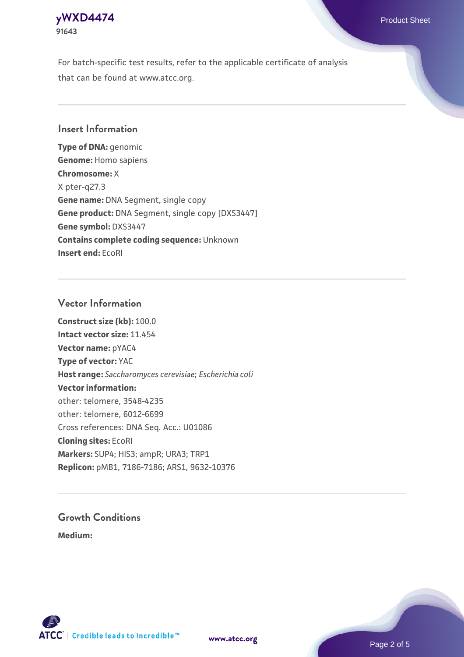### **[yWXD4474](https://www.atcc.org/products/91643)** Product Sheet **91643**

For batch-specific test results, refer to the applicable certificate of analysis that can be found at www.atcc.org.

### **Insert Information**

**Type of DNA:** genomic **Genome:** Homo sapiens **Chromosome:** X X pter-q27.3 **Gene name:** DNA Segment, single copy **Gene product:** DNA Segment, single copy [DXS3447] **Gene symbol:** DXS3447 **Contains complete coding sequence:** Unknown **Insert end:** EcoRI

#### **Vector Information**

**Construct size (kb):** 100.0 **Intact vector size:** 11.454 **Vector name:** pYAC4 **Type of vector:** YAC **Host range:** *Saccharomyces cerevisiae*; *Escherichia coli* **Vector information:** other: telomere, 3548-4235 other: telomere, 6012-6699 Cross references: DNA Seq. Acc.: U01086 **Cloning sites:** EcoRI **Markers:** SUP4; HIS3; ampR; URA3; TRP1 **Replicon:** pMB1, 7186-7186; ARS1, 9632-10376

# **Growth Conditions**

**Medium:** 



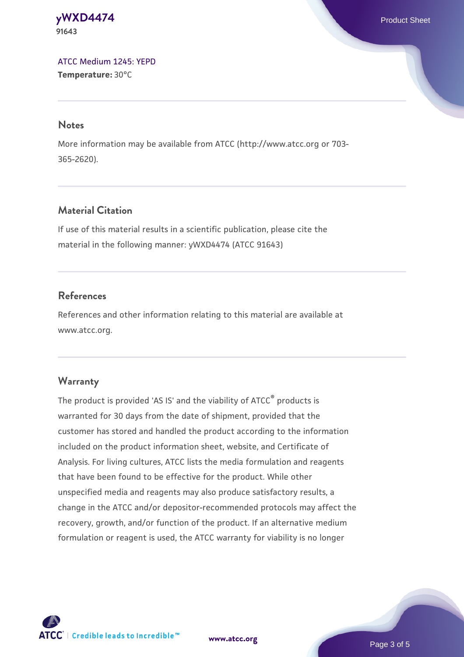#### **[yWXD4474](https://www.atcc.org/products/91643)** Product Sheet **91643**

[ATCC Medium 1245: YEPD](https://www.atcc.org/-/media/product-assets/documents/microbial-media-formulations/1/2/4/5/atcc-medium-1245.pdf?rev=705ca55d1b6f490a808a965d5c072196) **Temperature:** 30°C

#### **Notes**

More information may be available from ATCC (http://www.atcc.org or 703- 365-2620).

# **Material Citation**

If use of this material results in a scientific publication, please cite the material in the following manner: yWXD4474 (ATCC 91643)

# **References**

References and other information relating to this material are available at www.atcc.org.

# **Warranty**

The product is provided 'AS IS' and the viability of ATCC® products is warranted for 30 days from the date of shipment, provided that the customer has stored and handled the product according to the information included on the product information sheet, website, and Certificate of Analysis. For living cultures, ATCC lists the media formulation and reagents that have been found to be effective for the product. While other unspecified media and reagents may also produce satisfactory results, a change in the ATCC and/or depositor-recommended protocols may affect the recovery, growth, and/or function of the product. If an alternative medium formulation or reagent is used, the ATCC warranty for viability is no longer



**[www.atcc.org](http://www.atcc.org)**

Page 3 of 5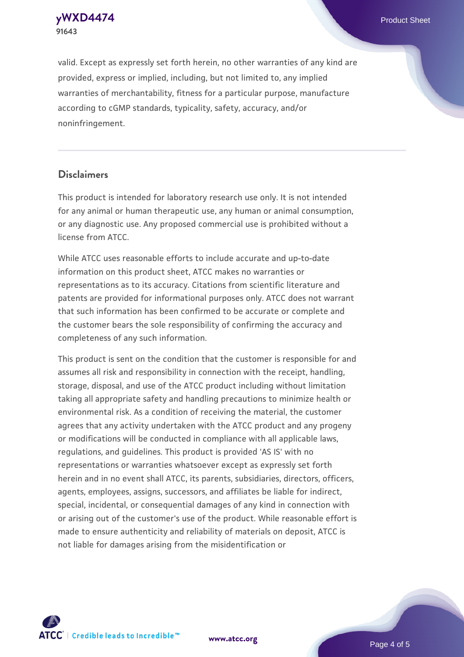**91643**

valid. Except as expressly set forth herein, no other warranties of any kind are provided, express or implied, including, but not limited to, any implied warranties of merchantability, fitness for a particular purpose, manufacture according to cGMP standards, typicality, safety, accuracy, and/or noninfringement.

#### **Disclaimers**

This product is intended for laboratory research use only. It is not intended for any animal or human therapeutic use, any human or animal consumption, or any diagnostic use. Any proposed commercial use is prohibited without a license from ATCC.

While ATCC uses reasonable efforts to include accurate and up-to-date information on this product sheet, ATCC makes no warranties or representations as to its accuracy. Citations from scientific literature and patents are provided for informational purposes only. ATCC does not warrant that such information has been confirmed to be accurate or complete and the customer bears the sole responsibility of confirming the accuracy and completeness of any such information.

This product is sent on the condition that the customer is responsible for and assumes all risk and responsibility in connection with the receipt, handling, storage, disposal, and use of the ATCC product including without limitation taking all appropriate safety and handling precautions to minimize health or environmental risk. As a condition of receiving the material, the customer agrees that any activity undertaken with the ATCC product and any progeny or modifications will be conducted in compliance with all applicable laws, regulations, and guidelines. This product is provided 'AS IS' with no representations or warranties whatsoever except as expressly set forth herein and in no event shall ATCC, its parents, subsidiaries, directors, officers, agents, employees, assigns, successors, and affiliates be liable for indirect, special, incidental, or consequential damages of any kind in connection with or arising out of the customer's use of the product. While reasonable effort is made to ensure authenticity and reliability of materials on deposit, ATCC is not liable for damages arising from the misidentification or



**[www.atcc.org](http://www.atcc.org)**

Page 4 of 5